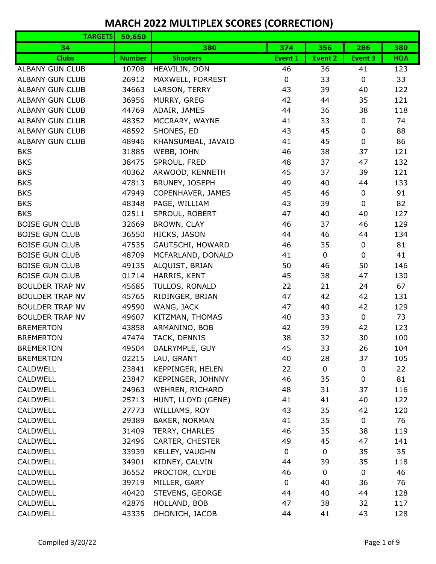| <b>TARGETS</b>         | 50,650        |                    |                |             |                |            |
|------------------------|---------------|--------------------|----------------|-------------|----------------|------------|
| 34                     |               | 380                | 374            | 356         | 286            | 380        |
| <b>Clubs</b>           | <b>Number</b> | <b>Shooters</b>    | <b>Event 1</b> | Event 2     | <b>Event 3</b> | <b>HOA</b> |
| <b>ALBANY GUN CLUB</b> | 10708         | HEAVILIN, DON      | 46             | 36          | 41             | 123        |
| <b>ALBANY GUN CLUB</b> | 26912         | MAXWELL, FORREST   | $\mathbf 0$    | 33          | $\mathbf 0$    | 33         |
| <b>ALBANY GUN CLUB</b> | 34663         | LARSON, TERRY      | 43             | 39          | 40             | 122        |
| <b>ALBANY GUN CLUB</b> | 36956         | MURRY, GREG        | 42             | 44          | 35             | 121        |
| <b>ALBANY GUN CLUB</b> | 44769         | ADAIR, JAMES       | 44             | 36          | 38             | 118        |
| <b>ALBANY GUN CLUB</b> | 48352         | MCCRARY, WAYNE     | 41             | 33          | 0              | 74         |
| <b>ALBANY GUN CLUB</b> | 48592         | SHONES, ED         | 43             | 45          | 0              | 88         |
| <b>ALBANY GUN CLUB</b> | 48946         | KHANSUMBAL, JAVAID | 41             | 45          | $\pmb{0}$      | 86         |
| <b>BKS</b>             | 31885         | WEBB, JOHN         | 46             | 38          | 37             | 121        |
| <b>BKS</b>             | 38475         | SPROUL, FRED       | 48             | 37          | 47             | 132        |
| <b>BKS</b>             | 40362         | ARWOOD, KENNETH    | 45             | 37          | 39             | 121        |
| <b>BKS</b>             | 47813         | BRUNEY, JOSEPH     | 49             | 40          | 44             | 133        |
| <b>BKS</b>             | 47949         | COPENHAVER, JAMES  | 45             | 46          | 0              | 91         |
| <b>BKS</b>             | 48348         | PAGE, WILLIAM      | 43             | 39          | $\mathbf 0$    | 82         |
| <b>BKS</b>             | 02511         | SPROUL, ROBERT     | 47             | 40          | 40             | 127        |
| <b>BOISE GUN CLUB</b>  | 32669         | BROWN, CLAY        | 46             | 37          | 46             | 129        |
| <b>BOISE GUN CLUB</b>  | 36550         | HICKS, JASON       | 44             | 46          | 44             | 134        |
| <b>BOISE GUN CLUB</b>  | 47535         | GAUTSCHI, HOWARD   | 46             | 35          | 0              | 81         |
| <b>BOISE GUN CLUB</b>  | 48709         | MCFARLAND, DONALD  | 41             | $\mathbf 0$ | $\mathbf 0$    | 41         |
| <b>BOISE GUN CLUB</b>  | 49135         | ALQUIST, BRIAN     | 50             | 46          | 50             | 146        |
| <b>BOISE GUN CLUB</b>  | 01714         | HARRIS, KENT       | 45             | 38          | 47             | 130        |
| <b>BOULDER TRAP NV</b> | 45685         | TULLOS, RONALD     | 22             | 21          | 24             | 67         |
| <b>BOULDER TRAP NV</b> | 45765         | RIDINGER, BRIAN    | 47             | 42          | 42             | 131        |
| <b>BOULDER TRAP NV</b> | 49590         | WANG, JACK         | 47             | 40          | 42             | 129        |
| <b>BOULDER TRAP NV</b> | 49607         | KITZMAN, THOMAS    | 40             | 33          | 0              | 73         |
| <b>BREMERTON</b>       | 43858         | ARMANINO, BOB      | 42             | 39          | 42             | 123        |
| <b>BREMERTON</b>       | 47474         | TACK, DENNIS       | 38             | 32          | 30             | 100        |
| <b>BREMERTON</b>       | 49504         | DALRYMPLE, GUY     | 45             | 33          | 26             | 104        |
| <b>BREMERTON</b>       | 02215         | LAU, GRANT         | 40             | 28          | 37             | 105        |
| <b>CALDWELL</b>        | 23841         | KEPPINGER, HELEN   | 22             | $\mathbf 0$ | 0              | 22         |
| CALDWELL               | 23847         | KEPPINGER, JOHNNY  | 46             | 35          | $\mathbf 0$    | 81         |
| <b>CALDWELL</b>        | 24963         | WEHREN, RICHARD    | 48             | 31          | 37             | 116        |
| <b>CALDWELL</b>        | 25713         | HUNT, LLOYD (GENE) | 41             | 41          | 40             | 122        |
| <b>CALDWELL</b>        | 27773         | WILLIAMS, ROY      | 43             | 35          | 42             | 120        |
| CALDWELL               | 29389         | BAKER, NORMAN      | 41             | 35          | 0              | 76         |
| <b>CALDWELL</b>        | 31409         | TERRY, CHARLES     | 46             | 35          | 38             | 119        |
| <b>CALDWELL</b>        | 32496         | CARTER, CHESTER    | 49             | 45          | 47             | 141        |
| CALDWELL               | 33939         | KELLEY, VAUGHN     | 0              | 0           | 35             | 35         |
| <b>CALDWELL</b>        | 34901         | KIDNEY, CALVIN     | 44             | 39          | 35             | 118        |
| CALDWELL               | 36552         | PROCTOR, CLYDE     | 46             | 0           | 0              | 46         |
| <b>CALDWELL</b>        | 39719         | MILLER, GARY       | $\pmb{0}$      | 40          | 36             | 76         |
| CALDWELL               | 40420         | STEVENS, GEORGE    | 44             | 40          | 44             | 128        |
| <b>CALDWELL</b>        | 42876         | HOLLAND, BOB       | 47             | 38          | 32             | 117        |
| CALDWELL               | 43335         | OHONICH, JACOB     | 44             | 41          | 43             | 128        |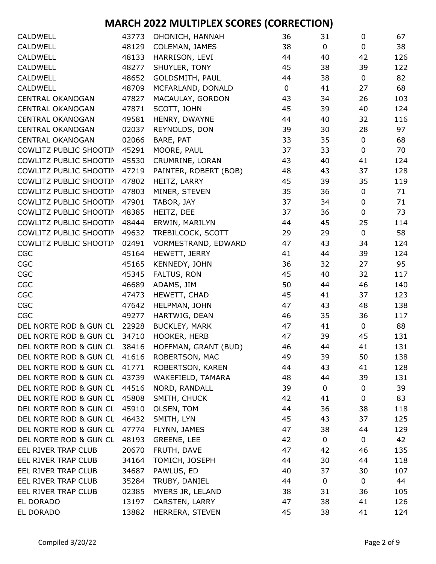| CALDWELL                     | 43773 | OHONICH, HANNAH       | 36          | 31          | 0           | 67  |
|------------------------------|-------|-----------------------|-------------|-------------|-------------|-----|
| CALDWELL                     | 48129 | COLEMAN, JAMES        | 38          | $\mathbf 0$ | 0           | 38  |
| <b>CALDWELL</b>              | 48133 | HARRISON, LEVI        | 44          | 40          | 42          | 126 |
| <b>CALDWELL</b>              | 48277 | SHUYLER, TONY         | 45          | 38          | 39          | 122 |
| <b>CALDWELL</b>              | 48652 | GOLDSMITH, PAUL       | 44          | 38          | 0           | 82  |
| <b>CALDWELL</b>              | 48709 | MCFARLAND, DONALD     | $\mathbf 0$ | 41          | 27          | 68  |
| <b>CENTRAL OKANOGAN</b>      | 47827 | MACAULAY, GORDON      | 43          | 34          | 26          | 103 |
| <b>CENTRAL OKANOGAN</b>      | 47871 | SCOTT, JOHN           | 45          | 39          | 40          | 124 |
| <b>CENTRAL OKANOGAN</b>      | 49581 | HENRY, DWAYNE         | 44          | 40          | 32          | 116 |
| <b>CENTRAL OKANOGAN</b>      | 02037 | REYNOLDS, DON         | 39          | 30          | 28          | 97  |
| <b>CENTRAL OKANOGAN</b>      | 02066 | BARE, PAT             | 33          | 35          | 0           | 68  |
| COWLITZ PUBLIC SHOOTIN       | 45291 | MOORE, PAUL           | 37          | 33          | 0           | 70  |
| COWLITZ PUBLIC SHOOTIN       | 45530 | CRUMRINE, LORAN       | 43          | 40          | 41          | 124 |
| COWLITZ PUBLIC SHOOTIN       | 47219 | PAINTER, ROBERT (BOB) | 48          | 43          | 37          | 128 |
| COWLITZ PUBLIC SHOOTIN       | 47802 | HEITZ, LARRY          | 45          | 39          | 35          | 119 |
| COWLITZ PUBLIC SHOOTIN       | 47803 | MINER, STEVEN         | 35          | 36          | 0           | 71  |
| COWLITZ PUBLIC SHOOTIN       | 47901 | TABOR, JAY            | 37          | 34          | 0           | 71  |
| COWLITZ PUBLIC SHOOTIN       | 48385 | HEITZ, DEE            | 37          | 36          | 0           | 73  |
| COWLITZ PUBLIC SHOOTIN       | 48444 | ERWIN, MARILYN        | 44          | 45          | 25          | 114 |
| COWLITZ PUBLIC SHOOTIN       | 49632 | TREBILCOCK, SCOTT     | 29          | 29          | $\mathbf 0$ | 58  |
| COWLITZ PUBLIC SHOOTIN       | 02491 | VORMESTRAND, EDWARD   | 47          | 43          | 34          | 124 |
| CGC                          | 45164 | HEWETT, JERRY         | 41          | 44          | 39          | 124 |
| CGC                          | 45165 | KENNEDY, JOHN         | 36          | 32          | 27          | 95  |
| CGC                          | 45345 | FALTUS, RON           | 45          | 40          | 32          | 117 |
| CGC                          | 46689 | ADAMS, JIM            | 50          | 44          | 46          | 140 |
| CGC                          | 47473 | HEWETT, CHAD          | 45          | 41          | 37          | 123 |
| CGC                          | 47642 | HELPMAN, JOHN         | 47          | 43          | 48          | 138 |
| CGC                          | 49277 | HARTWIG, DEAN         | 46          | 35          | 36          | 117 |
| DEL NORTE ROD & GUN CL       | 22928 | <b>BUCKLEY, MARK</b>  | 47          | 41          | 0           | 88  |
| DEL NORTE ROD & GUN CL       | 34710 | HOOKER, HERB          | 47          | 39          | 45          | 131 |
| DEL NORTE ROD & GUN CL 38416 |       | HOFFMAN, GRANT (BUD)  | 46          | 44          | 41          | 131 |
| DEL NORTE ROD & GUN CL       | 41616 | ROBERTSON, MAC        | 49          | 39          | 50          | 138 |
| DEL NORTE ROD & GUN CL       | 41771 | ROBERTSON, KAREN      | 44          | 43          | 41          | 128 |
| DEL NORTE ROD & GUN CL       | 43739 | WAKEFIELD, TAMARA     | 48          | 44          | 39          | 131 |
| DEL NORTE ROD & GUN CL       | 44516 | NORD, RANDALL         | 39          | $\mathbf 0$ | 0           | 39  |
| DEL NORTE ROD & GUN CL       | 45808 | SMITH, CHUCK          | 42          | 41          | 0           | 83  |
| DEL NORTE ROD & GUN CL       | 45910 | OLSEN, TOM            | 44          | 36          | 38          | 118 |
| DEL NORTE ROD & GUN CL       | 46432 | SMITH, LYN            | 45          | 43          | 37          | 125 |
| DEL NORTE ROD & GUN CL       | 47774 | FLYNN, JAMES          | 47          | 38          | 44          | 129 |
| DEL NORTE ROD & GUN CL       | 48193 | <b>GREENE, LEE</b>    | 42          | 0           | 0           | 42  |
| EEL RIVER TRAP CLUB          | 20670 | FRUTH, DAVE           | 47          | 42          | 46          | 135 |
| EEL RIVER TRAP CLUB          | 34164 | TOMICH, JOSEPH        | 44          | 30          | 44          | 118 |
| EEL RIVER TRAP CLUB          | 34687 | PAWLUS, ED            | 40          | 37          | 30          | 107 |
| EEL RIVER TRAP CLUB          | 35284 | TRUBY, DANIEL         | 44          | 0           | 0           | 44  |
| EEL RIVER TRAP CLUB          | 02385 | MYERS JR, LELAND      | 38          | 31          | 36          | 105 |
| EL DORADO                    | 13197 | CARSTEN, LARRY        | 47          | 38          | 41          | 126 |
| EL DORADO                    | 13882 | HERRERA, STEVEN       | 45          | 38          | 41          | 124 |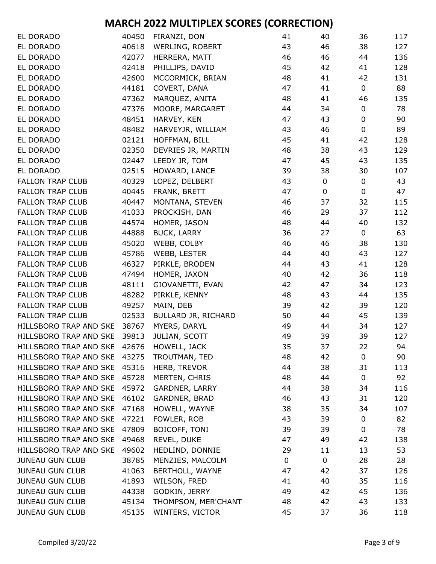| EL DORADO                                  | 40450 | FIRANZI, DON        | 41 | 40          | 36          | 117 |
|--------------------------------------------|-------|---------------------|----|-------------|-------------|-----|
| EL DORADO                                  | 40618 | WERLING, ROBERT     | 43 | 46          | 38          | 127 |
| EL DORADO                                  | 42077 | HERRERA, MATT       | 46 | 46          | 44          | 136 |
| EL DORADO                                  | 42418 | PHILLIPS, DAVID     | 45 | 42          | 41          | 128 |
| EL DORADO                                  | 42600 | MCCORMICK, BRIAN    | 48 | 41          | 42          | 131 |
| EL DORADO                                  | 44181 | COVERT, DANA        | 47 | 41          | $\pmb{0}$   | 88  |
| EL DORADO                                  | 47362 | MARQUEZ, ANITA      | 48 | 41          | 46          | 135 |
| EL DORADO                                  | 47376 | MOORE, MARGARET     | 44 | 34          | $\pmb{0}$   | 78  |
| EL DORADO                                  | 48451 | HARVEY, KEN         | 47 | 43          | 0           | 90  |
| EL DORADO                                  | 48482 | HARVEYJR, WILLIAM   | 43 | 46          | $\mathbf 0$ | 89  |
| EL DORADO                                  | 02121 | HOFFMAN, BILL       | 45 | 41          | 42          | 128 |
| EL DORADO                                  | 02350 | DEVRIES JR, MARTIN  | 48 | 38          | 43          | 129 |
| EL DORADO                                  | 02447 | LEEDY JR, TOM       | 47 | 45          | 43          | 135 |
| EL DORADO                                  | 02515 | HOWARD, LANCE       | 39 | 38          | 30          | 107 |
| <b>FALLON TRAP CLUB</b>                    | 40329 | LOPEZ, DELBERT      | 43 | $\mathbf 0$ | $\pmb{0}$   | 43  |
| <b>FALLON TRAP CLUB</b>                    | 40445 | FRANK, BRETT        | 47 | 0           | 0           | 47  |
| <b>FALLON TRAP CLUB</b>                    | 40447 | MONTANA, STEVEN     | 46 | 37          | 32          | 115 |
| <b>FALLON TRAP CLUB</b>                    | 41033 | PROCKISH, DAN       | 46 | 29          | 37          | 112 |
| <b>FALLON TRAP CLUB</b>                    | 44574 | HOMER, JASON        | 48 | 44          | 40          | 132 |
| <b>FALLON TRAP CLUB</b>                    | 44888 | <b>BUCK, LARRY</b>  | 36 | 27          | $\pmb{0}$   | 63  |
| <b>FALLON TRAP CLUB</b>                    | 45020 | WEBB, COLBY         | 46 | 46          | 38          | 130 |
| <b>FALLON TRAP CLUB</b>                    | 45786 | WEBB, LESTER        | 44 | 40          | 43          | 127 |
| <b>FALLON TRAP CLUB</b>                    | 46327 | PIRKLE, BRODEN      | 44 | 43          | 41          | 128 |
| <b>FALLON TRAP CLUB</b>                    | 47494 | HOMER, JAXON        | 40 | 42          | 36          | 118 |
| <b>FALLON TRAP CLUB</b>                    | 48111 | GIOVANETTI, EVAN    | 42 | 47          | 34          | 123 |
| <b>FALLON TRAP CLUB</b>                    | 48282 | PIRKLE, KENNY       | 48 | 43          | 44          | 135 |
| <b>FALLON TRAP CLUB</b>                    | 49257 | MAIN, DEB           | 39 | 42          | 39          | 120 |
| <b>FALLON TRAP CLUB</b>                    | 02533 | BULLARD JR, RICHARD | 50 | 44          | 45          | 139 |
| HILLSBORO TRAP AND SKE                     | 38767 | MYERS, DARYL        | 49 | 44          | 34          | 127 |
| HILLSBORO TRAP AND SKE                     | 39813 | JULIAN, SCOTT       | 49 | 39          | 39          | 127 |
| HILLSBORO TRAP AND SKE                     | 42676 | HOWELL, JACK        | 35 | 37          | 22          | 94  |
| HILLSBORO TRAP AND SKE 43275 TROUTMAN, TED |       |                     | 48 | 42          | 0           | 90  |
| HILLSBORO TRAP AND SKE 45316               |       | HERB, TREVOR        | 44 | 38          | 31          | 113 |
| HILLSBORO TRAP AND SKE 45728               |       | MERTEN, CHRIS       | 48 | 44          | 0           | 92  |
| HILLSBORO TRAP AND SKE 45972               |       | GARDNER, LARRY      | 44 | 38          | 34          | 116 |
| HILLSBORO TRAP AND SKE 46102               |       | GARDNER, BRAD       | 46 | 43          | 31          | 120 |
| HILLSBORO TRAP AND SKE 47168               |       | HOWELL, WAYNE       | 38 | 35          | 34          | 107 |
| HILLSBORO TRAP AND SKE                     | 47221 | FOWLER, ROB         | 43 | 39          | 0           | 82  |
| HILLSBORO TRAP AND SKE 47809               |       | BOICOFF, TONI       | 39 | 39          | 0           | 78  |
| HILLSBORO TRAP AND SKE 49468               |       | REVEL, DUKE         | 47 | 49          | 42          | 138 |
| HILLSBORO TRAP AND SKE 49602               |       | HEDLIND, DONNIE     | 29 | 11          | 13          | 53  |
| <b>JUNEAU GUN CLUB</b>                     | 38785 | MENZIES, MALCOLM    | 0  | $\mathbf 0$ | 28          | 28  |
| <b>JUNEAU GUN CLUB</b>                     | 41063 | BERTHOLL, WAYNE     | 47 | 42          | 37          | 126 |
| <b>JUNEAU GUN CLUB</b>                     | 41893 | WILSON, FRED        | 41 | 40          | 35          | 116 |
| <b>JUNEAU GUN CLUB</b>                     | 44338 | GODKIN, JERRY       | 49 | 42          | 45          | 136 |
| <b>JUNEAU GUN CLUB</b>                     | 45134 | THOMPSON, MER'CHANT | 48 | 42          | 43          | 133 |
| <b>JUNEAU GUN CLUB</b>                     | 45135 | WINTERS, VICTOR     | 45 | 37          | 36          | 118 |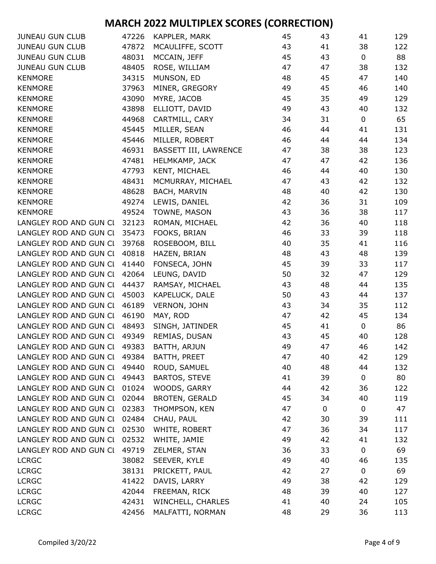| <b>JUNEAU GUN CLUB</b>       | 47226 | KAPPLER, MARK         | 45 | 43 | 41          | 129 |
|------------------------------|-------|-----------------------|----|----|-------------|-----|
| <b>JUNEAU GUN CLUB</b>       | 47872 | MCAULIFFE, SCOTT      | 43 | 41 | 38          | 122 |
| <b>JUNEAU GUN CLUB</b>       | 48031 | MCCAIN, JEFF          | 45 | 43 | $\mathbf 0$ | 88  |
| <b>JUNEAU GUN CLUB</b>       | 48405 | ROSE, WILLIAM         | 47 | 47 | 38          | 132 |
| <b>KENMORE</b>               | 34315 | MUNSON, ED            | 48 | 45 | 47          | 140 |
| <b>KENMORE</b>               | 37963 | MINER, GREGORY        | 49 | 45 | 46          | 140 |
| <b>KENMORE</b>               | 43090 | MYRE, JACOB           | 45 | 35 | 49          | 129 |
| <b>KENMORE</b>               | 43898 | ELLIOTT, DAVID        | 49 | 43 | 40          | 132 |
| <b>KENMORE</b>               | 44968 | CARTMILL, CARY        | 34 | 31 | $\mathbf 0$ | 65  |
| <b>KENMORE</b>               | 45445 | MILLER, SEAN          | 46 | 44 | 41          | 131 |
| <b>KENMORE</b>               | 45446 | MILLER, ROBERT        | 46 | 44 | 44          | 134 |
| <b>KENMORE</b>               | 46931 | BASSETT III, LAWRENCE | 47 | 38 | 38          | 123 |
| <b>KENMORE</b>               | 47481 | HELMKAMP, JACK        | 47 | 47 | 42          | 136 |
| <b>KENMORE</b>               | 47793 | KENT, MICHAEL         | 46 | 44 | 40          | 130 |
| <b>KENMORE</b>               | 48431 | MCMURRAY, MICHAEL     | 47 | 43 | 42          | 132 |
| <b>KENMORE</b>               | 48628 | BACH, MARVIN          | 48 | 40 | 42          | 130 |
| <b>KENMORE</b>               | 49274 | LEWIS, DANIEL         | 42 | 36 | 31          | 109 |
| <b>KENMORE</b>               | 49524 | TOWNE, MASON          | 43 | 36 | 38          | 117 |
| LANGLEY ROD AND GUN CI       | 32123 | ROMAN, MICHAEL        | 42 | 36 | 40          | 118 |
| LANGLEY ROD AND GUN CI       | 35473 | FOOKS, BRIAN          | 46 | 33 | 39          | 118 |
| LANGLEY ROD AND GUN CI       | 39768 | ROSEBOOM, BILL        | 40 | 35 | 41          | 116 |
| LANGLEY ROD AND GUN CI       | 40818 | HAZEN, BRIAN          | 48 | 43 | 48          | 139 |
| LANGLEY ROD AND GUN CI       | 41440 | FONSECA, JOHN         | 45 | 39 | 33          | 117 |
| LANGLEY ROD AND GUN CI       | 42064 | LEUNG, DAVID          | 50 | 32 | 47          | 129 |
| LANGLEY ROD AND GUN CI       | 44437 | RAMSAY, MICHAEL       | 43 | 48 | 44          | 135 |
| LANGLEY ROD AND GUN CI       | 45003 | KAPELUCK, DALE        | 50 | 43 | 44          | 137 |
| LANGLEY ROD AND GUN CI       | 46189 | VERNON, JOHN          | 43 | 34 | 35          | 112 |
| LANGLEY ROD AND GUN CI       | 46190 | MAY, ROD              | 47 | 42 | 45          | 134 |
| LANGLEY ROD AND GUN CI       | 48493 | SINGH, JATINDER       | 45 | 41 | $\mathbf 0$ | 86  |
| LANGLEY ROD AND GUN CI       | 49349 | REMIAS, DUSAN         | 43 | 45 | 40          | 128 |
| LANGLEY ROD AND GUN CI       | 49383 | BATTH, ARJUN          | 49 | 47 | 46          | 142 |
| LANGLEY ROD AND GUN CI 49384 |       | BATTH, PREET          | 47 | 40 | 42          | 129 |
| LANGLEY ROD AND GUN CL 49440 |       | ROUD, SAMUEL          | 40 | 48 | 44          | 132 |
| LANGLEY ROD AND GUN CL       | 49443 | <b>BARTOS, STEVE</b>  | 41 | 39 | 0           | 80  |
| LANGLEY ROD AND GUN CI 01024 |       | WOODS, GARRY          | 44 | 42 | 36          | 122 |
| LANGLEY ROD AND GUN CI       | 02044 | <b>BROTEN, GERALD</b> | 45 | 34 | 40          | 119 |
| LANGLEY ROD AND GUN CI       | 02383 | THOMPSON, KEN         | 47 | 0  | 0           | 47  |
| LANGLEY ROD AND GUN CL       | 02484 | CHAU, PAUL            | 42 | 30 | 39          | 111 |
| LANGLEY ROD AND GUN CI       | 02530 | WHITE, ROBERT         | 47 | 36 | 34          | 117 |
| LANGLEY ROD AND GUN CI       | 02532 | WHITE, JAMIE          | 49 | 42 | 41          | 132 |
| LANGLEY ROD AND GUN CI       | 49719 | ZELMER, STAN          | 36 | 33 | 0           | 69  |
| <b>LCRGC</b>                 | 38082 | SEEVER, KYLE          | 49 | 40 | 46          | 135 |
| <b>LCRGC</b>                 | 38131 | PRICKETT, PAUL        | 42 | 27 | 0           | 69  |
| <b>LCRGC</b>                 | 41422 | DAVIS, LARRY          | 49 | 38 | 42          | 129 |
| <b>LCRGC</b>                 | 42044 | FREEMAN, RICK         | 48 | 39 | 40          | 127 |
| <b>LCRGC</b>                 | 42431 | WINCHELL, CHARLES     | 41 | 40 | 24          | 105 |
| <b>LCRGC</b>                 | 42456 | MALFATTI, NORMAN      | 48 | 29 | 36          | 113 |
|                              |       |                       |    |    |             |     |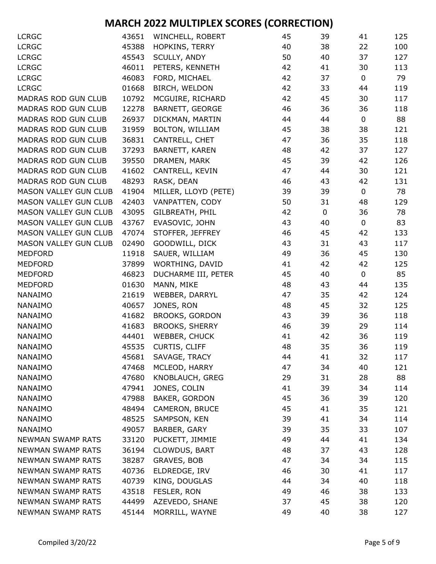| <b>LCRGC</b>                 | 43651 | WINCHELL, ROBERT      | 45 | 39          | 41          | 125 |
|------------------------------|-------|-----------------------|----|-------------|-------------|-----|
| <b>LCRGC</b>                 | 45388 | <b>HOPKINS, TERRY</b> | 40 | 38          | 22          | 100 |
| <b>LCRGC</b>                 | 45543 | SCULLY, ANDY          | 50 | 40          | 37          | 127 |
| <b>LCRGC</b>                 | 46011 | PETERS, KENNETH       | 42 | 41          | 30          | 113 |
| <b>LCRGC</b>                 | 46083 | FORD, MICHAEL         | 42 | 37          | $\mathbf 0$ | 79  |
| <b>LCRGC</b>                 | 01668 | BIRCH, WELDON         | 42 | 33          | 44          | 119 |
| MADRAS ROD GUN CLUB          | 10792 | MCGUIRE, RICHARD      | 42 | 45          | 30          | 117 |
| <b>MADRAS ROD GUN CLUB</b>   | 12278 | BARNETT, GEORGE       | 46 | 36          | 36          | 118 |
| <b>MADRAS ROD GUN CLUB</b>   | 26937 | DICKMAN, MARTIN       | 44 | 44          | $\pmb{0}$   | 88  |
| MADRAS ROD GUN CLUB          | 31959 | BOLTON, WILLIAM       | 45 | 38          | 38          | 121 |
| MADRAS ROD GUN CLUB          | 36831 | CANTRELL, CHET        | 47 | 36          | 35          | 118 |
| MADRAS ROD GUN CLUB          | 37293 | BARNETT, KAREN        | 48 | 42          | 37          | 127 |
| MADRAS ROD GUN CLUB          | 39550 | DRAMEN, MARK          | 45 | 39          | 42          | 126 |
| <b>MADRAS ROD GUN CLUB</b>   | 41602 | CANTRELL, KEVIN       | 47 | 44          | 30          | 121 |
| MADRAS ROD GUN CLUB          | 48293 | RASK, DEAN            | 46 | 43          | 42          | 131 |
| MASON VALLEY GUN CLUB        | 41904 | MILLER, LLOYD (PETE)  | 39 | 39          | $\mathbf 0$ | 78  |
| <b>MASON VALLEY GUN CLUB</b> | 42403 | VANPATTEN, CODY       | 50 | 31          | 48          | 129 |
| <b>MASON VALLEY GUN CLUB</b> | 43095 | GILBREATH, PHIL       | 42 | $\mathbf 0$ | 36          | 78  |
| <b>MASON VALLEY GUN CLUB</b> | 43767 | EVASOVIC, JOHN        | 43 | 40          | 0           | 83  |
| <b>MASON VALLEY GUN CLUB</b> | 47074 | STOFFER, JEFFREY      | 46 | 45          | 42          | 133 |
| MASON VALLEY GUN CLUB        | 02490 | GOODWILL, DICK        | 43 | 31          | 43          | 117 |
| <b>MEDFORD</b>               | 11918 | SAUER, WILLIAM        | 49 | 36          | 45          | 130 |
| <b>MEDFORD</b>               | 37899 | WORTHING, DAVID       | 41 | 42          | 42          | 125 |
| <b>MEDFORD</b>               | 46823 | DUCHARME III, PETER   | 45 | 40          | $\mathbf 0$ | 85  |
| <b>MEDFORD</b>               | 01630 | MANN, MIKE            | 48 | 43          | 44          | 135 |
| NANAIMO                      | 21619 | WEBBER, DARRYL        | 47 | 35          | 42          | 124 |
| NANAIMO                      | 40657 | JONES, RON            | 48 | 45          | 32          | 125 |
| NANAIMO                      | 41682 | <b>BROOKS, GORDON</b> | 43 | 39          | 36          | 118 |
| NANAIMO                      | 41683 | <b>BROOKS, SHERRY</b> | 46 | 39          | 29          | 114 |
| NANAIMO                      | 44401 | WEBBER, CHUCK         | 41 | 42          | 36          | 119 |
| NANAIMO                      | 45535 | CURTIS, CLIFF         | 48 | 35          | 36          | 119 |
| NANAIMO                      | 45681 | SAVAGE, TRACY         | 44 | 41          | 32          | 117 |
| NANAIMO                      | 47468 | MCLEOD, HARRY         | 47 | 34          | 40          | 121 |
| NANAIMO                      | 47680 | KNOBLAUCH, GREG       | 29 | 31          | 28          | 88  |
| NANAIMO                      | 47941 | JONES, COLIN          | 41 | 39          | 34          | 114 |
| NANAIMO                      | 47988 | BAKER, GORDON         | 45 | 36          | 39          | 120 |
| NANAIMO                      | 48494 | CAMERON, BRUCE        | 45 | 41          | 35          | 121 |
| NANAIMO                      | 48525 | SAMPSON, KEN          | 39 | 41          | 34          | 114 |
| NANAIMO                      | 49057 | BARBER, GARY          | 39 | 35          | 33          | 107 |
| <b>NEWMAN SWAMP RATS</b>     | 33120 | PUCKETT, JIMMIE       | 49 | 44          | 41          | 134 |
| <b>NEWMAN SWAMP RATS</b>     | 36194 | CLOWDUS, BART         | 48 | 37          | 43          | 128 |
| <b>NEWMAN SWAMP RATS</b>     | 38287 | GRAVES, BOB           | 47 | 34          | 34          | 115 |
| <b>NEWMAN SWAMP RATS</b>     | 40736 | ELDREDGE, IRV         | 46 | 30          | 41          | 117 |
| <b>NEWMAN SWAMP RATS</b>     | 40739 | KING, DOUGLAS         | 44 | 34          | 40          | 118 |
| <b>NEWMAN SWAMP RATS</b>     | 43518 | FESLER, RON           | 49 | 46          | 38          | 133 |
| <b>NEWMAN SWAMP RATS</b>     | 44499 | AZEVEDO, SHANE        | 37 | 45          | 38          | 120 |
| NEWMAN SWAMP RATS            | 45144 | MORRILL, WAYNE        | 49 | 40          | 38          | 127 |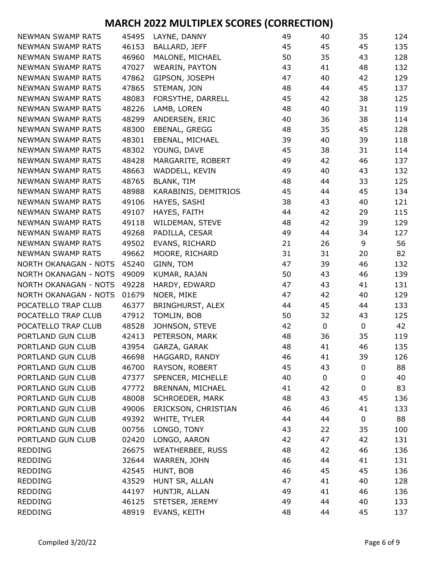| NEWMAN SWAMP RATS        | 45495 | LAYNE, DANNY            | 49 | 40          | 35          | 124 |
|--------------------------|-------|-------------------------|----|-------------|-------------|-----|
| <b>NEWMAN SWAMP RATS</b> | 46153 | BALLARD, JEFF           | 45 | 45          | 45          | 135 |
| <b>NEWMAN SWAMP RATS</b> | 46960 | MALONE, MICHAEL         | 50 | 35          | 43          | 128 |
| <b>NEWMAN SWAMP RATS</b> | 47027 | <b>WEARIN, PAYTON</b>   | 43 | 41          | 48          | 132 |
| NEWMAN SWAMP RATS        | 47862 | GIPSON, JOSEPH          | 47 | 40          | 42          | 129 |
| <b>NEWMAN SWAMP RATS</b> | 47865 | STEMAN, JON             | 48 | 44          | 45          | 137 |
| <b>NEWMAN SWAMP RATS</b> | 48083 | FORSYTHE, DARRELL       | 45 | 42          | 38          | 125 |
| <b>NEWMAN SWAMP RATS</b> | 48226 | LAMB, LOREN             | 48 | 40          | 31          | 119 |
| <b>NEWMAN SWAMP RATS</b> | 48299 | ANDERSEN, ERIC          | 40 | 36          | 38          | 114 |
| <b>NEWMAN SWAMP RATS</b> | 48300 | EBENAL, GREGG           | 48 | 35          | 45          | 128 |
| <b>NEWMAN SWAMP RATS</b> | 48301 | EBENAL, MICHAEL         | 39 | 40          | 39          | 118 |
| <b>NEWMAN SWAMP RATS</b> | 48302 | YOUNG, DAVE             | 45 | 38          | 31          | 114 |
| <b>NEWMAN SWAMP RATS</b> | 48428 | MARGARITE, ROBERT       | 49 | 42          | 46          | 137 |
| <b>NEWMAN SWAMP RATS</b> | 48663 | WADDELL, KEVIN          | 49 | 40          | 43          | 132 |
| <b>NEWMAN SWAMP RATS</b> | 48765 | <b>BLANK, TIM</b>       | 48 | 44          | 33          | 125 |
| <b>NEWMAN SWAMP RATS</b> | 48988 | KARABINIS, DEMITRIOS    | 45 | 44          | 45          | 134 |
| <b>NEWMAN SWAMP RATS</b> | 49106 | HAYES, SASHI            | 38 | 43          | 40          | 121 |
| <b>NEWMAN SWAMP RATS</b> | 49107 | HAYES, FAITH            | 44 | 42          | 29          | 115 |
| <b>NEWMAN SWAMP RATS</b> | 49118 | WILDEMAN, STEVE         | 48 | 42          | 39          | 129 |
| <b>NEWMAN SWAMP RATS</b> | 49268 | PADILLA, CESAR          | 49 | 44          | 34          | 127 |
| <b>NEWMAN SWAMP RATS</b> | 49502 | EVANS, RICHARD          | 21 | 26          | 9           | 56  |
| <b>NEWMAN SWAMP RATS</b> | 49662 | MOORE, RICHARD          | 31 | 31          | 20          | 82  |
| NORTH OKANAGAN - NOTS    | 45240 | GINN, TOM               | 47 | 39          | 46          | 132 |
| NORTH OKANAGAN - NOTS    | 49009 | KUMAR, RAJAN            | 50 | 43          | 46          | 139 |
| NORTH OKANAGAN - NOTS    | 49228 | HARDY, EDWARD           | 47 | 43          | 41          | 131 |
| NORTH OKANAGAN - NOTS    | 01679 | NOER, MIKE              | 47 | 42          | 40          | 129 |
| POCATELLO TRAP CLUB      | 46377 | <b>BRINGHURST, ALEX</b> | 44 | 45          | 44          | 133 |
| POCATELLO TRAP CLUB      | 47912 | TOMLIN, BOB             | 50 | 32          | 43          | 125 |
| POCATELLO TRAP CLUB      | 48528 | JOHNSON, STEVE          | 42 | $\mathbf 0$ | $\mathbf 0$ | 42  |
| PORTLAND GUN CLUB        | 42413 | PETERSON, MARK          | 48 | 36          | 35          | 119 |
| PORTLAND GUN CLUB        | 43954 | GARZA, GARAK            | 48 | 41          | 46          | 135 |
| PORTLAND GUN CLUB        | 46698 | HAGGARD, RANDY          | 46 | 41          | 39          | 126 |
| PORTLAND GUN CLUB        | 46700 | RAYSON, ROBERT          | 45 | 43          | 0           | 88  |
| PORTLAND GUN CLUB        | 47377 | SPENCER, MICHELLE       | 40 | 0           | $\mathbf 0$ | 40  |
| PORTLAND GUN CLUB        | 47772 | BRENNAN, MICHAEL        | 41 | 42          | 0           | 83  |
| PORTLAND GUN CLUB        | 48008 | SCHROEDER, MARK         | 48 | 43          | 45          | 136 |
| PORTLAND GUN CLUB        | 49006 | ERICKSON, CHRISTIAN     | 46 | 46          | 41          | 133 |
| PORTLAND GUN CLUB        | 49392 | WHITE, TYLER            | 44 | 44          | 0           | 88  |
| PORTLAND GUN CLUB        | 00756 | LONGO, TONY             | 43 | 22          | 35          | 100 |
| PORTLAND GUN CLUB        | 02420 | LONGO, AARON            | 42 | 47          | 42          | 131 |
| <b>REDDING</b>           | 26675 | <b>WEATHERBEE, RUSS</b> | 48 | 42          | 46          | 136 |
| <b>REDDING</b>           | 32644 | WARREN, JOHN            | 46 | 44          | 41          | 131 |
| <b>REDDING</b>           | 42545 | HUNT, BOB               | 46 | 45          | 45          | 136 |
| <b>REDDING</b>           | 43529 | HUNT SR, ALLAN          | 47 | 41          | 40          | 128 |
| <b>REDDING</b>           | 44197 | HUNTJR, ALLAN           | 49 | 41          | 46          | 136 |
| <b>REDDING</b>           | 46125 | STETSER, JEREMY         | 49 | 44          | 40          | 133 |
| <b>REDDING</b>           | 48919 | EVANS, KEITH            | 48 | 44          | 45          | 137 |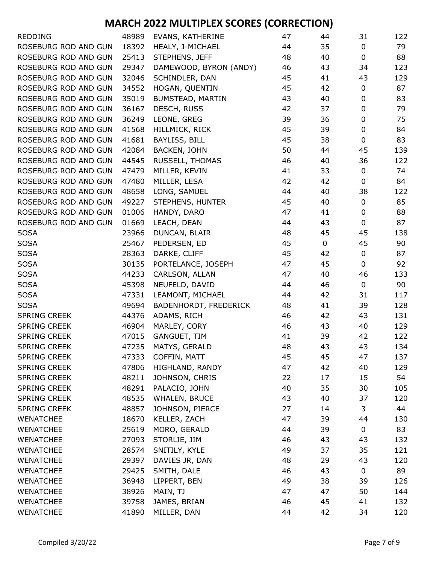| <b>REDDING</b>       | 48989 | EVANS, KATHERINE       | 47 | 44          | 31          | 122 |
|----------------------|-------|------------------------|----|-------------|-------------|-----|
| ROSEBURG ROD AND GUN | 18392 | HEALY, J-MICHAEL       | 44 | 35          | 0           | 79  |
| ROSEBURG ROD AND GUN | 25413 | STEPHENS, JEFF         | 48 | 40          | $\mathbf 0$ | 88  |
| ROSEBURG ROD AND GUN | 29347 | DAMEWOOD, BYRON (ANDY) | 46 | 43          | 34          | 123 |
| ROSEBURG ROD AND GUN | 32046 | SCHINDLER, DAN         | 45 | 41          | 43          | 129 |
| ROSEBURG ROD AND GUN | 34552 | HOGAN, QUENTIN         | 45 | 42          | $\mathbf 0$ | 87  |
| ROSEBURG ROD AND GUN | 35019 | BUMSTEAD, MARTIN       | 43 | 40          | $\mathbf 0$ | 83  |
| ROSEBURG ROD AND GUN | 36167 | DESCH, RUSS            | 42 | 37          | $\mathbf 0$ | 79  |
| ROSEBURG ROD AND GUN | 36249 | LEONE, GREG            | 39 | 36          | $\pmb{0}$   | 75  |
| ROSEBURG ROD AND GUN | 41568 | HILLMICK, RICK         | 45 | 39          | $\mathbf 0$ | 84  |
| ROSEBURG ROD AND GUN | 41681 | BAYLISS, BILL          | 45 | 38          | $\pmb{0}$   | 83  |
| ROSEBURG ROD AND GUN | 42084 | BACKEN, JOHN           | 50 | 44          | 45          | 139 |
| ROSEBURG ROD AND GUN | 44545 | RUSSELL, THOMAS        | 46 | 40          | 36          | 122 |
| ROSEBURG ROD AND GUN | 47479 | MILLER, KEVIN          | 41 | 33          | 0           | 74  |
| ROSEBURG ROD AND GUN | 47480 | MILLER, LESA           | 42 | 42          | 0           | 84  |
| ROSEBURG ROD AND GUN | 48658 | LONG, SAMUEL           | 44 | 40          | 38          | 122 |
| ROSEBURG ROD AND GUN | 49227 | STEPHENS, HUNTER       | 45 | 40          | $\mathbf 0$ | 85  |
| ROSEBURG ROD AND GUN | 01006 | HANDY, DARO            | 47 | 41          | $\pmb{0}$   | 88  |
| ROSEBURG ROD AND GUN | 01669 | LEACH, DEAN            | 44 | 43          | 0           | 87  |
| <b>SOSA</b>          | 23966 | DUNCAN, BLAIR          | 48 | 45          | 45          | 138 |
| <b>SOSA</b>          | 25467 | PEDERSEN, ED           | 45 | $\mathbf 0$ | 45          | 90  |
| <b>SOSA</b>          | 28363 | DARKE, CLIFF           | 45 | 42          | 0           | 87  |
| <b>SOSA</b>          | 30135 | PORTELANCE, JOSEPH     | 47 | 45          | 0           | 92  |
| <b>SOSA</b>          | 44233 | CARLSON, ALLAN         | 47 | 40          | 46          | 133 |
| <b>SOSA</b>          | 45398 | NEUFELD, DAVID         | 44 | 46          | 0           | 90  |
| <b>SOSA</b>          | 47331 | LEAMONT, MICHAEL       | 44 | 42          | 31          | 117 |
| <b>SOSA</b>          | 49694 | BADENHORDT, FREDERICK  | 48 | 41          | 39          | 128 |
| <b>SPRING CREEK</b>  | 44376 | ADAMS, RICH            | 46 | 42          | 43          | 131 |
| <b>SPRING CREEK</b>  | 46904 | MARLEY, CORY           | 46 | 43          | 40          | 129 |
| <b>SPRING CREEK</b>  | 47015 | GANGUET, TIM           | 41 | 39          | 42          | 122 |
| <b>SPRING CREEK</b>  | 47235 | MATYS, GERALD          | 48 | 43          | 43          | 134 |
| SPRING CREEK         | 47333 | COFFIN, MATT           | 45 | 45          | 47          | 137 |
| <b>SPRING CREEK</b>  | 47806 | HIGHLAND, RANDY        | 47 | 42          | 40          | 129 |
| <b>SPRING CREEK</b>  | 48211 | JOHNSON, CHRIS         | 22 | 17          | 15          | 54  |
| <b>SPRING CREEK</b>  | 48291 | PALACIO, JOHN          | 40 | 35          | 30          | 105 |
| <b>SPRING CREEK</b>  | 48535 | WHALEN, BRUCE          | 43 | 40          | 37          | 120 |
| <b>SPRING CREEK</b>  | 48857 | JOHNSON, PIERCE        | 27 | 14          | 3           | 44  |
| <b>WENATCHEE</b>     | 18670 | KELLER, ZACH           | 47 | 39          | 44          | 130 |
| <b>WENATCHEE</b>     | 25619 | MORO, GERALD           | 44 | 39          | 0           | 83  |
| <b>WENATCHEE</b>     | 27093 | STORLIE, JIM           | 46 | 43          | 43          | 132 |
| <b>WENATCHEE</b>     | 28574 | SNITILY, KYLE          | 49 | 37          | 35          | 121 |
| <b>WENATCHEE</b>     | 29397 | DAVIES JR, DAN         | 48 | 29          | 43          | 120 |
| <b>WENATCHEE</b>     | 29425 | SMITH, DALE            | 46 | 43          | 0           | 89  |
| <b>WENATCHEE</b>     | 36948 | LIPPERT, BEN           | 49 | 38          | 39          | 126 |
| <b>WENATCHEE</b>     | 38926 | MAIN, TJ               | 47 | 47          | 50          | 144 |
| <b>WENATCHEE</b>     | 39758 | JAMES, BRIAN           | 46 | 45          | 41          | 132 |
| WENATCHEE            | 41890 | MILLER, DAN            | 44 | 42          | 34          | 120 |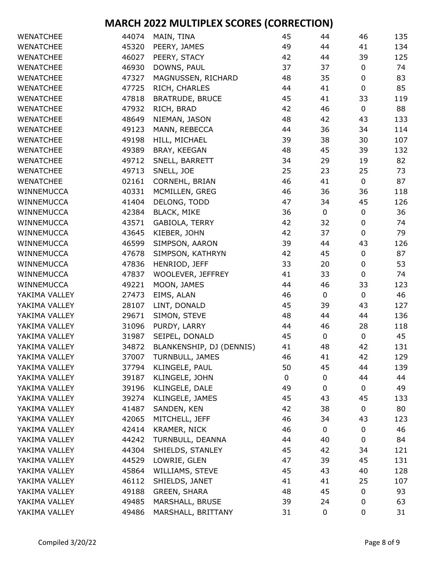| <b>WENATCHEE</b> | 44074 | MAIN, TINA               | 45 | 44          | 46          | 135 |
|------------------|-------|--------------------------|----|-------------|-------------|-----|
| <b>WENATCHEE</b> | 45320 | PEERY, JAMES             | 49 | 44          | 41          | 134 |
| <b>WENATCHEE</b> | 46027 | PEERY, STACY             | 42 | 44          | 39          | 125 |
| <b>WENATCHEE</b> | 46930 | DOWNS, PAUL              | 37 | 37          | $\pmb{0}$   | 74  |
| <b>WENATCHEE</b> | 47327 | MAGNUSSEN, RICHARD       | 48 | 35          | $\mathbf 0$ | 83  |
| <b>WENATCHEE</b> | 47725 | RICH, CHARLES            | 44 | 41          | $\pmb{0}$   | 85  |
| <b>WENATCHEE</b> | 47818 | <b>BRATRUDE, BRUCE</b>   | 45 | 41          | 33          | 119 |
| <b>WENATCHEE</b> | 47932 | RICH, BRAD               | 42 | 46          | $\pmb{0}$   | 88  |
| <b>WENATCHEE</b> | 48649 | NIEMAN, JASON            | 48 | 42          | 43          | 133 |
| <b>WENATCHEE</b> | 49123 | MANN, REBECCA            | 44 | 36          | 34          | 114 |
| <b>WENATCHEE</b> | 49198 | HILL, MICHAEL            | 39 | 38          | 30          | 107 |
| <b>WENATCHEE</b> | 49389 | BRAY, KEEGAN             | 48 | 45          | 39          | 132 |
| <b>WENATCHEE</b> | 49712 | SNELL, BARRETT           | 34 | 29          | 19          | 82  |
| <b>WENATCHEE</b> | 49713 | SNELL, JOE               | 25 | 23          | 25          | 73  |
| <b>WENATCHEE</b> | 02161 | CORNEHL, BRIAN           | 46 | 41          | $\mathbf 0$ | 87  |
| WINNEMUCCA       | 40331 | MCMILLEN, GREG           | 46 | 36          | 36          | 118 |
| WINNEMUCCA       | 41404 | DELONG, TODD             | 47 | 34          | 45          | 126 |
| WINNEMUCCA       | 42384 | <b>BLACK, MIKE</b>       | 36 | $\mathbf 0$ | $\pmb{0}$   | 36  |
| WINNEMUCCA       | 43571 | GABIOLA, TERRY           | 42 | 32          | $\mathbf 0$ | 74  |
| WINNEMUCCA       | 43645 | KIEBER, JOHN             | 42 | 37          | $\pmb{0}$   | 79  |
| WINNEMUCCA       | 46599 | SIMPSON, AARON           | 39 | 44          | 43          | 126 |
| WINNEMUCCA       | 47678 | SIMPSON, KATHRYN         | 42 | 45          | $\pmb{0}$   | 87  |
| WINNEMUCCA       | 47836 | HENRIOD, JEFF            | 33 | 20          | $\pmb{0}$   | 53  |
| WINNEMUCCA       | 47837 | WOOLEVER, JEFFREY        | 41 | 33          | $\mathbf 0$ | 74  |
| WINNEMUCCA       | 49221 | MOON, JAMES              | 44 | 46          | 33          | 123 |
| YAKIMA VALLEY    | 27473 | EIMS, ALAN               | 46 | $\mathbf 0$ | 0           | 46  |
| YAKIMA VALLEY    | 28107 | LINT, DONALD             | 45 | 39          | 43          | 127 |
| YAKIMA VALLEY    | 29671 | SIMON, STEVE             | 48 | 44          | 44          | 136 |
| YAKIMA VALLEY    | 31096 | PURDY, LARRY             | 44 | 46          | 28          | 118 |
| YAKIMA VALLEY    | 31987 | SEIPEL, DONALD           | 45 | $\mathbf 0$ | $\pmb{0}$   | 45  |
| YAKIMA VALLEY    | 34872 | BLANKENSHIP, DJ (DENNIS) | 41 | 48          | 42          | 131 |
| YAKIMA VALLEY    | 37007 | TURNBULL, JAMES          | 46 | 41          | 42          | 129 |
| YAKIMA VALLEY    | 37794 | KLINGELE, PAUL           | 50 | 45          | 44          | 139 |
| YAKIMA VALLEY    | 39187 | KLINGELE, JOHN           | 0  | 0           | 44          | 44  |
| YAKIMA VALLEY    | 39196 | KLINGELE, DALE           | 49 | 0           | 0           | 49  |
| YAKIMA VALLEY    | 39274 | KLINGELE, JAMES          | 45 | 43          | 45          | 133 |
| YAKIMA VALLEY    | 41487 | SANDEN, KEN              | 42 | 38          | $\mathbf 0$ | 80  |
| YAKIMA VALLEY    | 42065 | MITCHELL, JEFF           | 46 | 34          | 43          | 123 |
| YAKIMA VALLEY    | 42414 | KRAMER, NICK             | 46 | 0           | $\pmb{0}$   | 46  |
| YAKIMA VALLEY    | 44242 | TURNBULL, DEANNA         | 44 | 40          | 0           | 84  |
| YAKIMA VALLEY    | 44304 | SHIELDS, STANLEY         | 45 | 42          | 34          | 121 |
| YAKIMA VALLEY    | 44529 | LOWRIE, GLEN             | 47 | 39          | 45          | 131 |
| YAKIMA VALLEY    | 45864 | WILLIAMS, STEVE          | 45 | 43          | 40          | 128 |
| YAKIMA VALLEY    | 46112 | SHIELDS, JANET           | 41 | 41          | 25          | 107 |
| YAKIMA VALLEY    | 49188 | GREEN, SHARA             | 48 | 45          | 0           | 93  |
| YAKIMA VALLEY    | 49485 | MARSHALL, BRUSE          | 39 | 24          | 0           | 63  |
| YAKIMA VALLEY    | 49486 | MARSHALL, BRITTANY       | 31 | 0           | 0           | 31  |